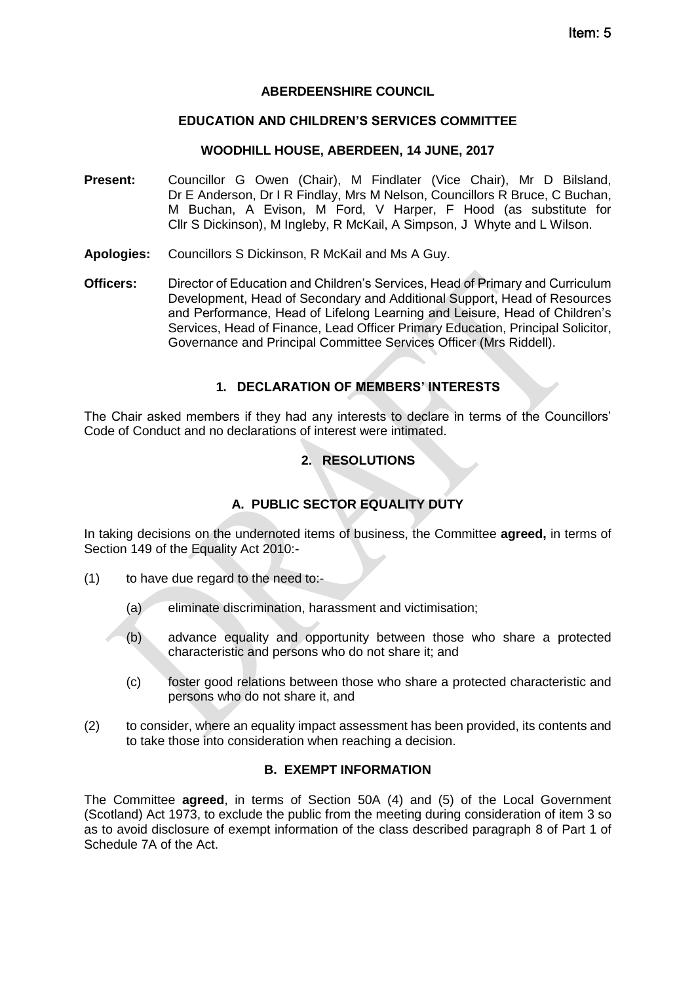#### **ABERDEENSHIRE COUNCIL**

### **EDUCATION AND CHILDREN'S SERVICES COMMITTEE**

### **WOODHILL HOUSE, ABERDEEN, 14 JUNE, 2017**

- **Present:** Councillor G Owen (Chair), M Findlater (Vice Chair), Mr D Bilsland, Dr E Anderson, Dr I R Findlay, Mrs M Nelson, Councillors R Bruce, C Buchan, M Buchan, A Evison, M Ford, V Harper, F Hood (as substitute for Cllr S Dickinson), M Ingleby, R McKail, A Simpson, J Whyte and L Wilson.
- **Apologies:** Councillors S Dickinson, R McKail and Ms A Guy.
- **Officers:** Director of Education and Children's Services, Head of Primary and Curriculum Development, Head of Secondary and Additional Support, Head of Resources and Performance, Head of Lifelong Learning and Leisure, Head of Children's Services, Head of Finance, Lead Officer Primary Education, Principal Solicitor, Governance and Principal Committee Services Officer (Mrs Riddell).

## **1. DECLARATION OF MEMBERS' INTERESTS**

The Chair asked members if they had any interests to declare in terms of the Councillors' Code of Conduct and no declarations of interest were intimated.

## **2. RESOLUTIONS**

## **A. PUBLIC SECTOR EQUALITY DUTY**

In taking decisions on the undernoted items of business, the Committee **agreed,** in terms of Section 149 of the Equality Act 2010:-

- (1) to have due regard to the need to:-
	- (a) eliminate discrimination, harassment and victimisation;
	- (b) advance equality and opportunity between those who share a protected characteristic and persons who do not share it; and
	- (c) foster good relations between those who share a protected characteristic and persons who do not share it, and
- (2) to consider, where an equality impact assessment has been provided, its contents and to take those into consideration when reaching a decision.

### **B. EXEMPT INFORMATION**

The Committee **agreed**, in terms of Section 50A (4) and (5) of the Local Government (Scotland) Act 1973, to exclude the public from the meeting during consideration of item 3 so as to avoid disclosure of exempt information of the class described paragraph 8 of Part 1 of Schedule 7A of the Act.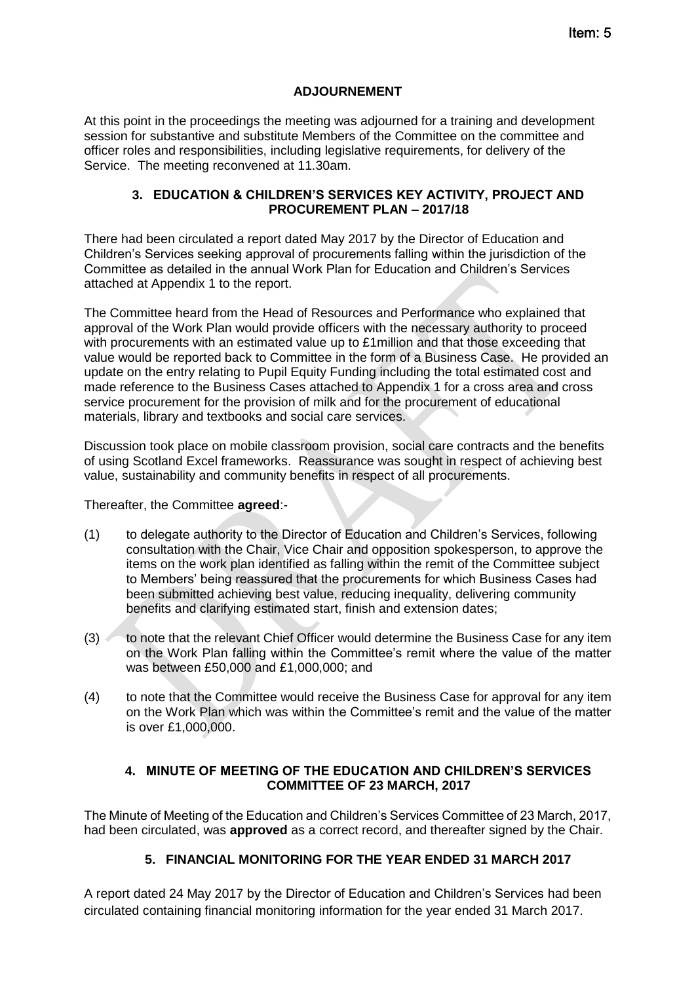### **ADJOURNEMENT**

At this point in the proceedings the meeting was adjourned for a training and development session for substantive and substitute Members of the Committee on the committee and officer roles and responsibilities, including legislative requirements, for delivery of the Service. The meeting reconvened at 11.30am.

### **3. EDUCATION & CHILDREN'S SERVICES KEY ACTIVITY, PROJECT AND PROCUREMENT PLAN – 2017/18**

There had been circulated a report dated May 2017 by the Director of Education and Children's Services seeking approval of procurements falling within the jurisdiction of the Committee as detailed in the annual Work Plan for Education and Children's Services attached at Appendix 1 to the report.

The Committee heard from the Head of Resources and Performance who explained that approval of the Work Plan would provide officers with the necessary authority to proceed with procurements with an estimated value up to £1 million and that those exceeding that value would be reported back to Committee in the form of a Business Case. He provided an update on the entry relating to Pupil Equity Funding including the total estimated cost and made reference to the Business Cases attached to Appendix 1 for a cross area and cross service procurement for the provision of milk and for the procurement of educational materials, library and textbooks and social care services.

Discussion took place on mobile classroom provision, social care contracts and the benefits of using Scotland Excel frameworks. Reassurance was sought in respect of achieving best value, sustainability and community benefits in respect of all procurements.

### Thereafter, the Committee **agreed**:-

- (1) to delegate authority to the Director of Education and Children's Services, following consultation with the Chair, Vice Chair and opposition spokesperson, to approve the items on the work plan identified as falling within the remit of the Committee subject to Members' being reassured that the procurements for which Business Cases had been submitted achieving best value, reducing inequality, delivering community benefits and clarifying estimated start, finish and extension dates;
- (3) to note that the relevant Chief Officer would determine the Business Case for any item on the Work Plan falling within the Committee's remit where the value of the matter was between £50,000 and £1,000,000; and
- (4) to note that the Committee would receive the Business Case for approval for any item on the Work Plan which was within the Committee's remit and the value of the matter is over £1,000,000.

### **4. MINUTE OF MEETING OF THE EDUCATION AND CHILDREN'S SERVICES COMMITTEE OF 23 MARCH, 2017**

The Minute of Meeting of the Education and Children's Services Committee of 23 March, 2017, had been circulated, was **approved** as a correct record, and thereafter signed by the Chair.

## **5. FINANCIAL MONITORING FOR THE YEAR ENDED 31 MARCH 2017**

A report dated 24 May 2017 by the Director of Education and Children's Services had been circulated containing financial monitoring information for the year ended 31 March 2017.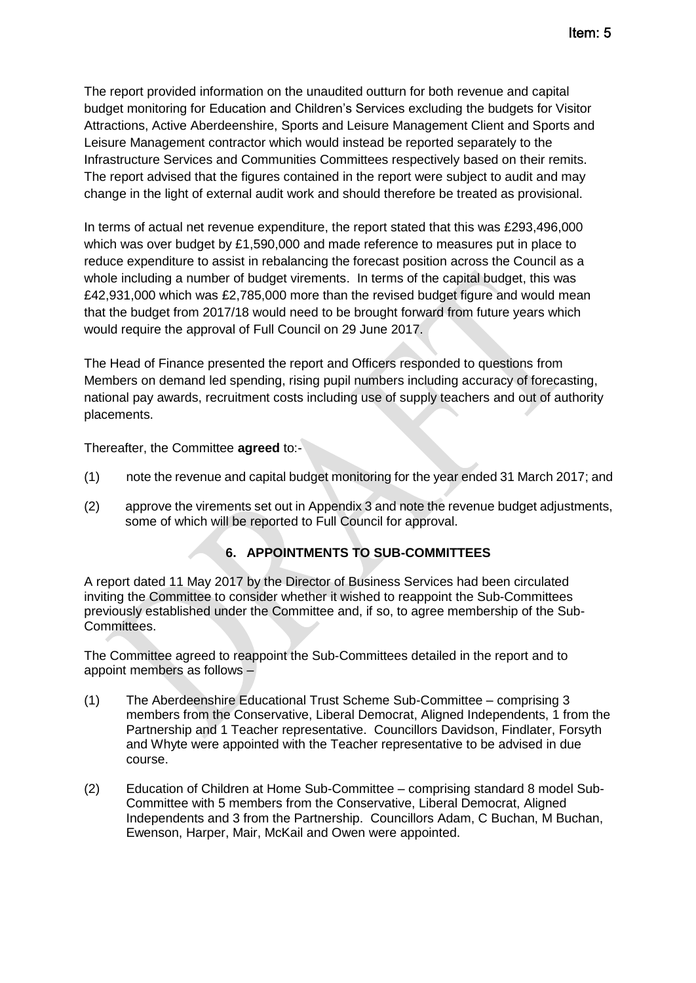The report provided information on the unaudited outturn for both revenue and capital budget monitoring for Education and Children's Services excluding the budgets for Visitor Attractions, Active Aberdeenshire, Sports and Leisure Management Client and Sports and Leisure Management contractor which would instead be reported separately to the Infrastructure Services and Communities Committees respectively based on their remits. The report advised that the figures contained in the report were subject to audit and may change in the light of external audit work and should therefore be treated as provisional.

In terms of actual net revenue expenditure, the report stated that this was £293,496,000 which was over budget by £1,590,000 and made reference to measures put in place to reduce expenditure to assist in rebalancing the forecast position across the Council as a whole including a number of budget virements. In terms of the capital budget, this was £42,931,000 which was £2,785,000 more than the revised budget figure and would mean that the budget from 2017/18 would need to be brought forward from future years which would require the approval of Full Council on 29 June 2017.

The Head of Finance presented the report and Officers responded to questions from Members on demand led spending, rising pupil numbers including accuracy of forecasting, national pay awards, recruitment costs including use of supply teachers and out of authority placements.

Thereafter, the Committee **agreed** to:-

- (1) note the revenue and capital budget monitoring for the year ended 31 March 2017; and
- (2) approve the virements set out in Appendix 3 and note the revenue budget adjustments, some of which will be reported to Full Council for approval.

## **6. APPOINTMENTS TO SUB-COMMITTEES**

A report dated 11 May 2017 by the Director of Business Services had been circulated inviting the Committee to consider whether it wished to reappoint the Sub-Committees previously established under the Committee and, if so, to agree membership of the Sub-Committees.

The Committee agreed to reappoint the Sub-Committees detailed in the report and to appoint members as follows –

- (1) The Aberdeenshire Educational Trust Scheme Sub-Committee comprising 3 members from the Conservative, Liberal Democrat, Aligned Independents, 1 from the Partnership and 1 Teacher representative. Councillors Davidson, Findlater, Forsyth and Whyte were appointed with the Teacher representative to be advised in due course.
- (2) Education of Children at Home Sub-Committee comprising standard 8 model Sub-Committee with 5 members from the Conservative, Liberal Democrat, Aligned Independents and 3 from the Partnership. Councillors Adam, C Buchan, M Buchan, Ewenson, Harper, Mair, McKail and Owen were appointed.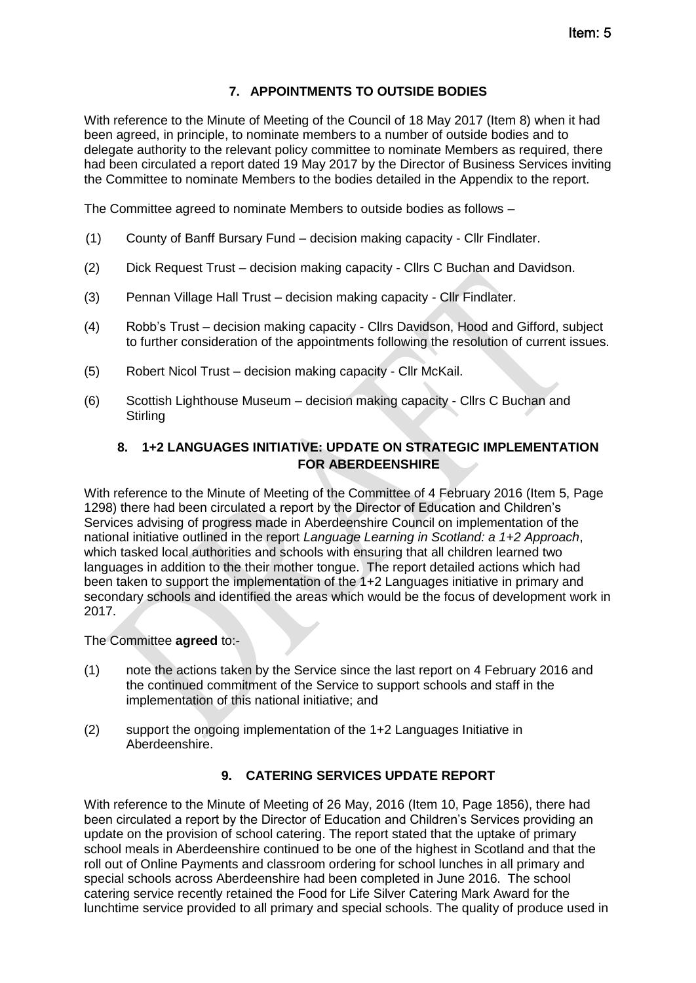# **7. APPOINTMENTS TO OUTSIDE BODIES**

With reference to the Minute of Meeting of the Council of 18 May 2017 (Item 8) when it had been agreed, in principle, to nominate members to a number of outside bodies and to delegate authority to the relevant policy committee to nominate Members as required, there had been circulated a report dated 19 May 2017 by the Director of Business Services inviting the Committee to nominate Members to the bodies detailed in the Appendix to the report.

The Committee agreed to nominate Members to outside bodies as follows –

- (1) County of Banff Bursary Fund decision making capacity Cllr Findlater.
- (2) Dick Request Trust decision making capacity Cllrs C Buchan and Davidson.
- (3) Pennan Village Hall Trust decision making capacity Cllr Findlater.
- (4) Robb's Trust decision making capacity Cllrs Davidson, Hood and Gifford, subject to further consideration of the appointments following the resolution of current issues.
- (5) Robert Nicol Trust decision making capacity Cllr McKail.
- (6) Scottish Lighthouse Museum decision making capacity Cllrs C Buchan and **Stirling**

# **8. 1+2 LANGUAGES INITIATIVE: UPDATE ON STRATEGIC IMPLEMENTATION FOR ABERDEENSHIRE**

With reference to the Minute of Meeting of the Committee of 4 February 2016 (Item 5, Page 1298) there had been circulated a report by the Director of Education and Children's Services advising of progress made in Aberdeenshire Council on implementation of the national initiative outlined in the report *Language Learning in Scotland: a 1+2 Approach*, which tasked local authorities and schools with ensuring that all children learned two languages in addition to the their mother tongue. The report detailed actions which had been taken to support the implementation of the 1+2 Languages initiative in primary and secondary schools and identified the areas which would be the focus of development work in 2017.

The Committee **agreed** to:-

- (1) note the actions taken by the Service since the last report on 4 February 2016 and the continued commitment of the Service to support schools and staff in the implementation of this national initiative; and
- (2) support the ongoing implementation of the 1+2 Languages Initiative in Aberdeenshire.

## **9. CATERING SERVICES UPDATE REPORT**

With reference to the Minute of Meeting of 26 May, 2016 (Item 10, Page 1856), there had been circulated a report by the Director of Education and Children's Services providing an update on the provision of school catering. The report stated that the uptake of primary school meals in Aberdeenshire continued to be one of the highest in Scotland and that the roll out of Online Payments and classroom ordering for school lunches in all primary and special schools across Aberdeenshire had been completed in June 2016. The school catering service recently retained the Food for Life Silver Catering Mark Award for the lunchtime service provided to all primary and special schools. The quality of produce used in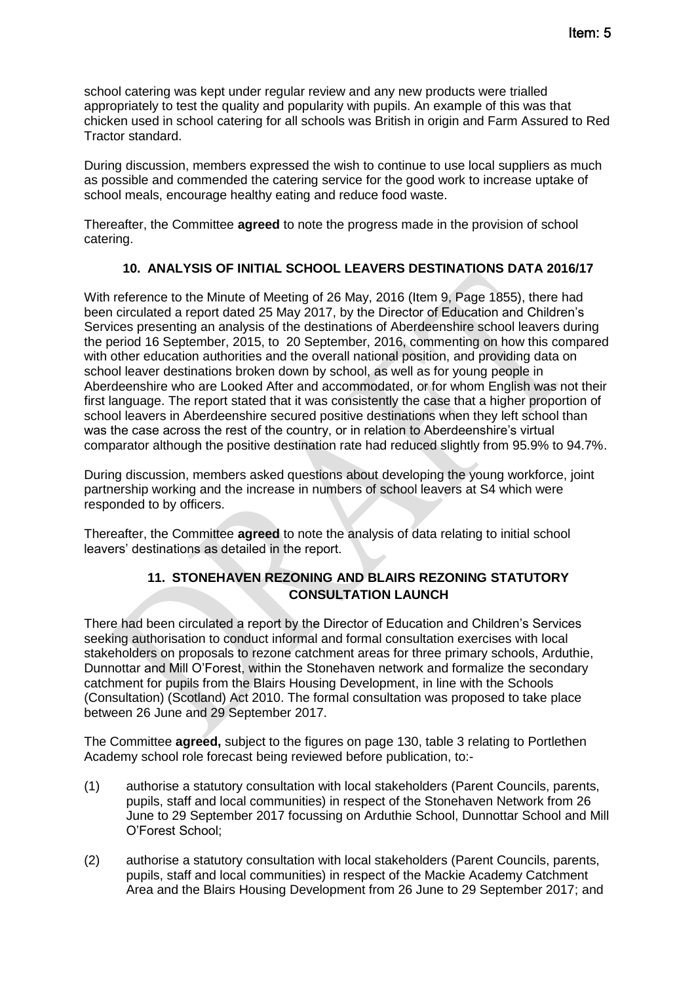school catering was kept under regular review and any new products were trialled appropriately to test the quality and popularity with pupils. An example of this was that chicken used in school catering for all schools was British in origin and Farm Assured to Red Tractor standard.

During discussion, members expressed the wish to continue to use local suppliers as much as possible and commended the catering service for the good work to increase uptake of school meals, encourage healthy eating and reduce food waste.

Thereafter, the Committee **agreed** to note the progress made in the provision of school catering.

## **10. ANALYSIS OF INITIAL SCHOOL LEAVERS DESTINATIONS DATA 2016/17**

With reference to the Minute of Meeting of 26 May, 2016 (Item 9, Page 1855), there had been circulated a report dated 25 May 2017, by the Director of Education and Children's Services presenting an analysis of the destinations of Aberdeenshire school leavers during the period 16 September, 2015, to 20 September, 2016, commenting on how this compared with other education authorities and the overall national position, and providing data on school leaver destinations broken down by school, as well as for young people in Aberdeenshire who are Looked After and accommodated, or for whom English was not their first language. The report stated that it was consistently the case that a higher proportion of school leavers in Aberdeenshire secured positive destinations when they left school than was the case across the rest of the country, or in relation to Aberdeenshire's virtual comparator although the positive destination rate had reduced slightly from 95.9% to 94.7%.

During discussion, members asked questions about developing the young workforce, joint partnership working and the increase in numbers of school leavers at S4 which were responded to by officers.

Thereafter, the Committee **agreed** to note the analysis of data relating to initial school leavers' destinations as detailed in the report.

## **11. STONEHAVEN REZONING AND BLAIRS REZONING STATUTORY CONSULTATION LAUNCH**

There had been circulated a report by the Director of Education and Children's Services seeking authorisation to conduct informal and formal consultation exercises with local stakeholders on proposals to rezone catchment areas for three primary schools, Arduthie, Dunnottar and Mill O'Forest, within the Stonehaven network and formalize the secondary catchment for pupils from the Blairs Housing Development, in line with the Schools (Consultation) (Scotland) Act 2010. The formal consultation was proposed to take place between 26 June and 29 September 2017.

The Committee **agreed,** subject to the figures on page 130, table 3 relating to Portlethen Academy school role forecast being reviewed before publication, to:-

- (1) authorise a statutory consultation with local stakeholders (Parent Councils, parents, pupils, staff and local communities) in respect of the Stonehaven Network from 26 June to 29 September 2017 focussing on Arduthie School, Dunnottar School and Mill O'Forest School;
- (2) authorise a statutory consultation with local stakeholders (Parent Councils, parents, pupils, staff and local communities) in respect of the Mackie Academy Catchment Area and the Blairs Housing Development from 26 June to 29 September 2017; and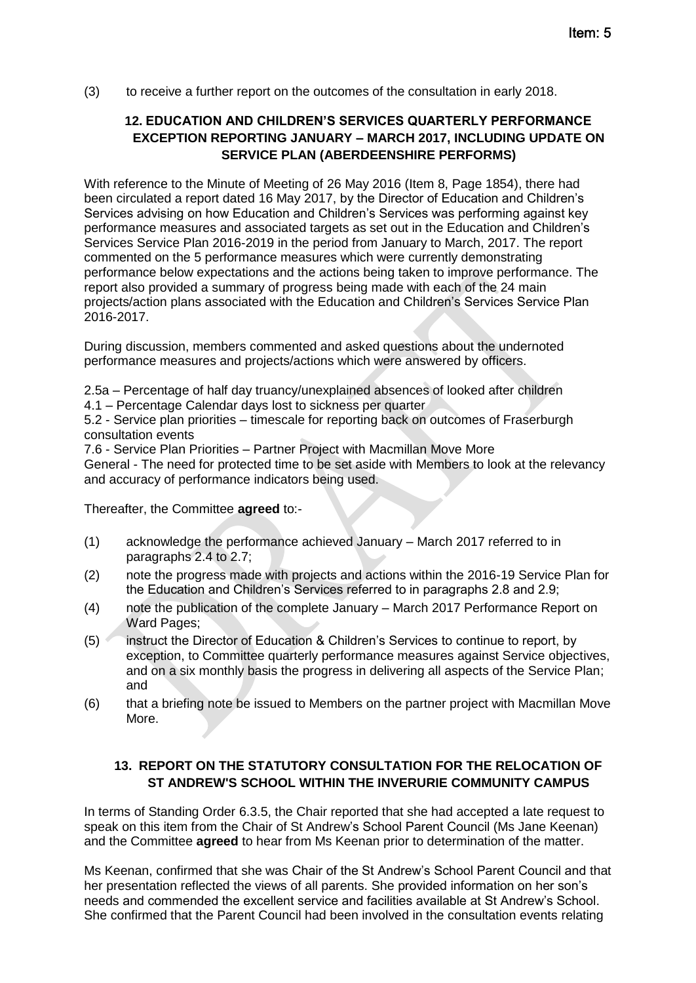(3) to receive a further report on the outcomes of the consultation in early 2018.

# **12. EDUCATION AND CHILDREN'S SERVICES QUARTERLY PERFORMANCE EXCEPTION REPORTING JANUARY – MARCH 2017, INCLUDING UPDATE ON SERVICE PLAN (ABERDEENSHIRE PERFORMS)**

With reference to the Minute of Meeting of 26 May 2016 (Item 8, Page 1854), there had been circulated a report dated 16 May 2017, by the Director of Education and Children's Services advising on how Education and Children's Services was performing against key performance measures and associated targets as set out in the Education and Children's Services Service Plan 2016-2019 in the period from January to March, 2017. The report commented on the 5 performance measures which were currently demonstrating performance below expectations and the actions being taken to improve performance. The report also provided a summary of progress being made with each of the 24 main projects/action plans associated with the Education and Children's Services Service Plan 2016-2017.

During discussion, members commented and asked questions about the undernoted performance measures and projects/actions which were answered by officers.

2.5a – Percentage of half day truancy/unexplained absences of looked after children

4.1 – Percentage Calendar days lost to sickness per quarter

5.2 - Service plan priorities – timescale for reporting back on outcomes of Fraserburgh consultation events

7.6 - Service Plan Priorities – Partner Project with Macmillan Move More

General - The need for protected time to be set aside with Members to look at the relevancy and accuracy of performance indicators being used.

Thereafter, the Committee **agreed** to:-

- (1) acknowledge the performance achieved January March 2017 referred to in paragraphs 2.4 to 2.7;
- (2) note the progress made with projects and actions within the 2016-19 Service Plan for the Education and Children's Services referred to in paragraphs 2.8 and 2.9;
- (4) note the publication of the complete January March 2017 Performance Report on Ward Pages:
- (5) instruct the Director of Education & Children's Services to continue to report, by exception, to Committee quarterly performance measures against Service objectives, and on a six monthly basis the progress in delivering all aspects of the Service Plan; and
- (6) that a briefing note be issued to Members on the partner project with Macmillan Move More.

# **13. REPORT ON THE STATUTORY CONSULTATION FOR THE RELOCATION OF ST ANDREW'S SCHOOL WITHIN THE INVERURIE COMMUNITY CAMPUS**

In terms of Standing Order 6.3.5, the Chair reported that she had accepted a late request to speak on this item from the Chair of St Andrew's School Parent Council (Ms Jane Keenan) and the Committee **agreed** to hear from Ms Keenan prior to determination of the matter.

Ms Keenan, confirmed that she was Chair of the St Andrew's School Parent Council and that her presentation reflected the views of all parents. She provided information on her son's needs and commended the excellent service and facilities available at St Andrew's School. She confirmed that the Parent Council had been involved in the consultation events relating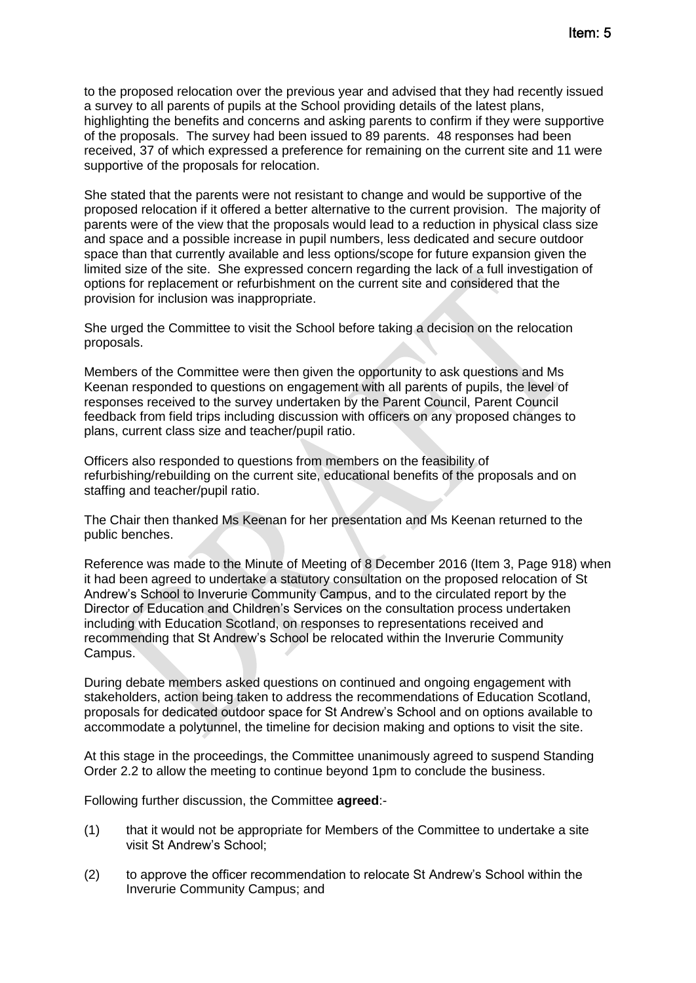to the proposed relocation over the previous year and advised that they had recently issued a survey to all parents of pupils at the School providing details of the latest plans, highlighting the benefits and concerns and asking parents to confirm if they were supportive of the proposals. The survey had been issued to 89 parents. 48 responses had been received, 37 of which expressed a preference for remaining on the current site and 11 were supportive of the proposals for relocation.

She stated that the parents were not resistant to change and would be supportive of the proposed relocation if it offered a better alternative to the current provision. The majority of parents were of the view that the proposals would lead to a reduction in physical class size and space and a possible increase in pupil numbers, less dedicated and secure outdoor space than that currently available and less options/scope for future expansion given the limited size of the site. She expressed concern regarding the lack of a full investigation of options for replacement or refurbishment on the current site and considered that the provision for inclusion was inappropriate.

She urged the Committee to visit the School before taking a decision on the relocation proposals.

Members of the Committee were then given the opportunity to ask questions and Ms Keenan responded to questions on engagement with all parents of pupils, the level of responses received to the survey undertaken by the Parent Council, Parent Council feedback from field trips including discussion with officers on any proposed changes to plans, current class size and teacher/pupil ratio.

Officers also responded to questions from members on the feasibility of refurbishing/rebuilding on the current site, educational benefits of the proposals and on staffing and teacher/pupil ratio.

The Chair then thanked Ms Keenan for her presentation and Ms Keenan returned to the public benches.

Reference was made to the Minute of Meeting of 8 December 2016 (Item 3, Page 918) when it had been agreed to undertake a statutory consultation on the proposed relocation of St Andrew's School to Inverurie Community Campus, and to the circulated report by the Director of Education and Children's Services on the consultation process undertaken including with Education Scotland, on responses to representations received and recommending that St Andrew's School be relocated within the Inverurie Community Campus.

During debate members asked questions on continued and ongoing engagement with stakeholders, action being taken to address the recommendations of Education Scotland, proposals for dedicated outdoor space for St Andrew's School and on options available to accommodate a polytunnel, the timeline for decision making and options to visit the site.

At this stage in the proceedings, the Committee unanimously agreed to suspend Standing Order 2.2 to allow the meeting to continue beyond 1pm to conclude the business.

Following further discussion, the Committee **agreed**:-

- (1) that it would not be appropriate for Members of the Committee to undertake a site visit St Andrew's School;
- (2) to approve the officer recommendation to relocate St Andrew's School within the Inverurie Community Campus; and